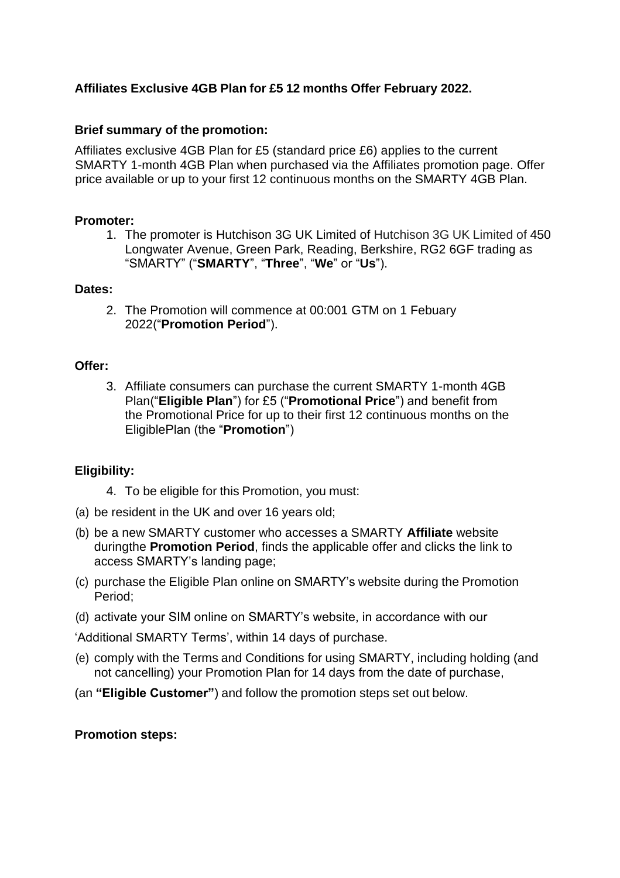# **Affiliates Exclusive 4GB Plan for £5 12 months Offer February 2022.**

## **Brief summary of the promotion:**

Affiliates exclusive 4GB Plan for £5 (standard price £6) applies to the current SMARTY 1-month 4GB Plan when purchased via the Affiliates promotion page. Offer price available or up to your first 12 continuous months on the SMARTY 4GB Plan.

### **Promoter:**

1. The promoter is Hutchison 3G UK Limited of Hutchison 3G UK Limited of 450 Longwater Avenue, Green Park, Reading, Berkshire, RG2 6GF trading as "SMARTY" ("**SMARTY**", "**Three**", "**We**" or "**Us**").

### **Dates:**

2. The Promotion will commence at 00:001 GTM on 1 Febuary 2022("**Promotion Period**").

### **Offer:**

3. Affiliate consumers can purchase the current SMARTY 1-month 4GB Plan("**Eligible Plan**") for £5 ("**Promotional Price**") and benefit from the Promotional Price for up to their first 12 continuous months on the EligiblePlan (the "**Promotion**")

# **Eligibility:**

- 4. To be eligible for this Promotion, you must:
- (a) be resident in the UK and over 16 years old;
- (b) be a new SMARTY customer who accesses a SMARTY **Affiliate** website duringthe **Promotion Period**, finds the applicable offer and clicks the link to access SMARTY's landing page;
- (c) purchase the Eligible Plan online on SMARTY's website during the Promotion Period;
- (d) activate your SIM online on SMARTY's website, in accordance with our

'Additional SMARTY Terms', within 14 days of purchase.

- (e) comply with the Terms and Conditions for using SMARTY, including holding (and not cancelling) your Promotion Plan for 14 days from the date of purchase,
- (an **"Eligible Customer"**) and follow the promotion steps set out below.

# **Promotion steps:**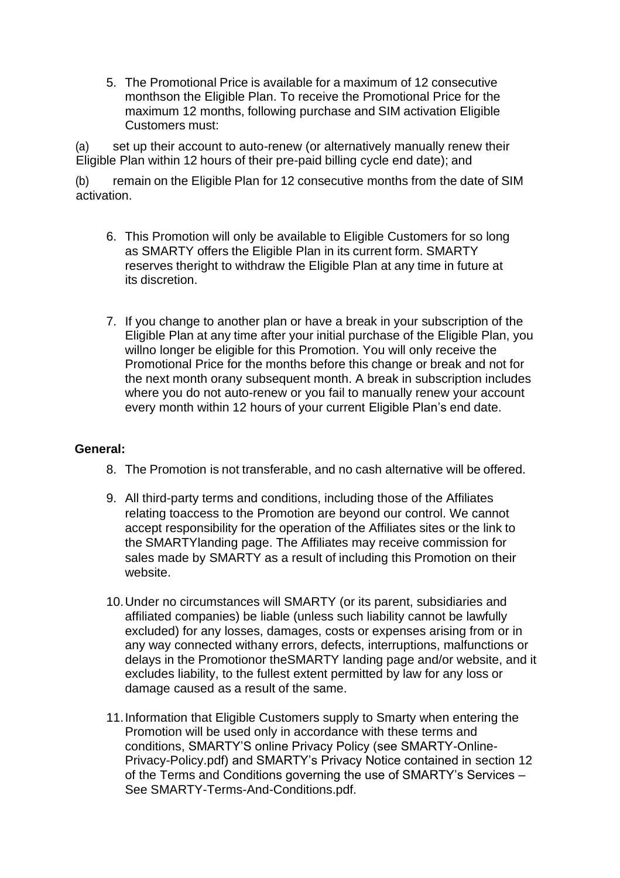5. The Promotional Price is available for a maximum of 12 consecutive monthson the Eligible Plan. To receive the Promotional Price for the maximum 12 months, following purchase and SIM activation Eligible Customers must:

(a) set up their account to auto-renew (or alternatively manually renew their Eligible Plan within 12 hours of their pre-paid billing cycle end date); and

(b) remain on the Eligible Plan for 12 consecutive months from the date of SIM activation.

- 6. This Promotion will only be available to Eligible Customers for so long as SMARTY offers the Eligible Plan in its current form. SMARTY reserves theright to withdraw the Eligible Plan at any time in future at its discretion.
- 7. If you change to another plan or have a break in your subscription of the Eligible Plan at any time after your initial purchase of the Eligible Plan, you willno longer be eligible for this Promotion. You will only receive the Promotional Price for the months before this change or break and not for the next month orany subsequent month. A break in subscription includes where you do not auto-renew or you fail to manually renew your account every month within 12 hours of your current Eligible Plan's end date.

### **General:**

- 8. The Promotion is not transferable, and no cash alternative will be offered.
- 9. All third-party terms and conditions, including those of the Affiliates relating toaccess to the Promotion are beyond our control. We cannot accept responsibility for the operation of the Affiliates sites or the link to the SMARTYlanding page. The Affiliates may receive commission for sales made by SMARTY as a result of including this Promotion on their website.
- 10.Under no circumstances will SMARTY (or its parent, subsidiaries and affiliated companies) be liable (unless such liability cannot be lawfully excluded) for any losses, damages, costs or expenses arising from or in any way connected withany errors, defects, interruptions, malfunctions or delays in the Promotionor theSMARTY landing page and/or website, and it excludes liability, to the fullest extent permitted by law for any loss or damage caused as a result of the same.
- 11.Information that Eligible Customers supply to Smarty when entering the Promotion will be used only in accordance with these terms and conditions, SMARTY'S online Privacy Policy (see SMARTY-Online-Privacy-Policy.pdf) and SMARTY's Privacy Notice contained in section 12 of the Terms and Conditions governing the use of SMARTY's Services – See SMARTY-Terms-And-Conditions.pdf.